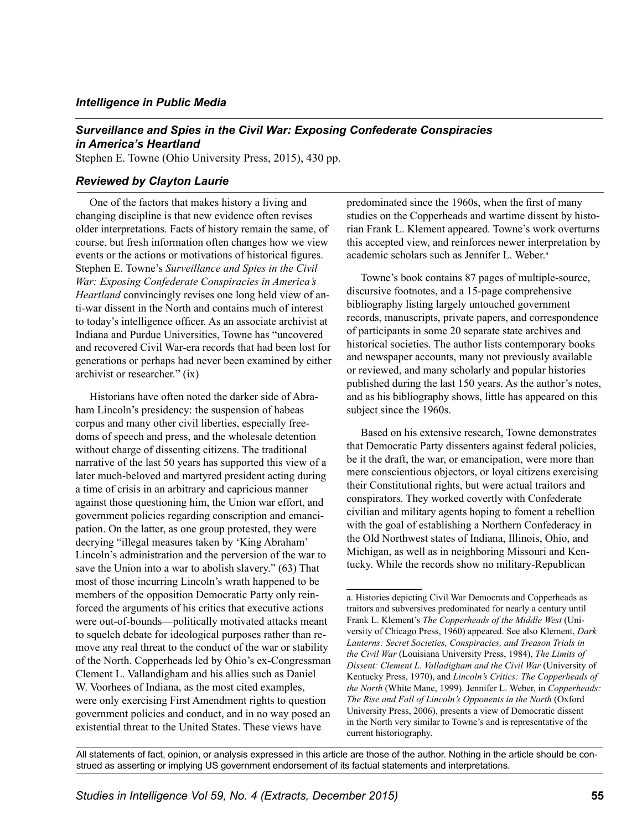## *Intelligence in Public Media*

## *Surveillance and Spies in the Civil War: Exposing Confederate Conspiracies in America's Heartland*

Stephen E. Towne (Ohio University Press, 2015), 430 pp.

## *Reviewed by Clayton Laurie*

One of the factors that makes history a living and changing discipline is that new evidence often revises older interpretations. Facts of history remain the same, of course, but fresh information often changes how we view events or the actions or motivations of historical figures. Stephen E. Towne's *Surveillance and Spies in the Civil War: Exposing Confederate Conspiracies in America's Heartland* convincingly revises one long held view of anti-war dissent in the North and contains much of interest to today's intelligence officer. As an associate archivist at Indiana and Purdue Universities, Towne has "uncovered and recovered Civil War-era records that had been lost for generations or perhaps had never been examined by either archivist or researcher." (ix)

Historians have often noted the darker side of Abraham Lincoln's presidency: the suspension of habeas corpus and many other civil liberties, especially freedoms of speech and press, and the wholesale detention without charge of dissenting citizens. The traditional narrative of the last 50 years has supported this view of a later much-beloved and martyred president acting during a time of crisis in an arbitrary and capricious manner against those questioning him, the Union war effort, and government policies regarding conscription and emancipation. On the latter, as one group protested, they were decrying "illegal measures taken by 'King Abraham' Lincoln's administration and the perversion of the war to save the Union into a war to abolish slavery." (63) That most of those incurring Lincoln's wrath happened to be members of the opposition Democratic Party only reinforced the arguments of his critics that executive actions were out-of-bounds—politically motivated attacks meant to squelch debate for ideological purposes rather than remove any real threat to the conduct of the war or stability of the North. Copperheads led by Ohio's ex-Congressman Clement L. Vallandigham and his allies such as Daniel W. Voorhees of Indiana, as the most cited examples, were only exercising First Amendment rights to question government policies and conduct, and in no way posed an existential threat to the United States. These views have

predominated since the 1960s, when the first of many studies on the Copperheads and wartime dissent by historian Frank L. Klement appeared. Towne's work overturns this accepted view, and reinforces newer interpretation by academic scholars such as Jennifer L. Weber.<sup>a</sup>

Towne's book contains 87 pages of multiple-source, discursive footnotes, and a 15-page comprehensive bibliography listing largely untouched government records, manuscripts, private papers, and correspondence of participants in some 20 separate state archives and historical societies. The author lists contemporary books and newspaper accounts, many not previously available or reviewed, and many scholarly and popular histories published during the last 150 years. As the author's notes, and as his bibliography shows, little has appeared on this subject since the 1960s.

Based on his extensive research, Towne demonstrates that Democratic Party dissenters against federal policies, be it the draft, the war, or emancipation, were more than mere conscientious objectors, or loyal citizens exercising their Constitutional rights, but were actual traitors and conspirators. They worked covertly with Confederate civilian and military agents hoping to foment a rebellion with the goal of establishing a Northern Confederacy in the Old Northwest states of Indiana, Illinois, Ohio, and Michigan, as well as in neighboring Missouri and Kentucky. While the records show no military-Republican

All statements of fact, opinion, or analysis expressed in this article are those of the author. Nothing in the article should be construed as asserting or implying US government endorsement of its factual statements and interpretations.

a. Histories depicting Civil War Democrats and Copperheads as traitors and subversives predominated for nearly a century until Frank L. Klement's *The Copperheads of the Middle West* (University of Chicago Press, 1960) appeared. See also Klement, *Dark Lanterns: Secret Societies, Conspiracies, and Treason Trials in the Civil War* (Louisiana University Press, 1984), *The Limits of Dissent: Clement L. Valladigham and the Civil War* (University of Kentucky Press, 1970), and *Lincoln's Critics: The Copperheads of the North* (White Mane, 1999). Jennifer L. Weber, in *Copperheads: The Rise and Fall of Lincoln's Opponents in the North* (Oxford University Press, 2006), presents a view of Democratic dissent in the North very similar to Towne's and is representative of the current historiography.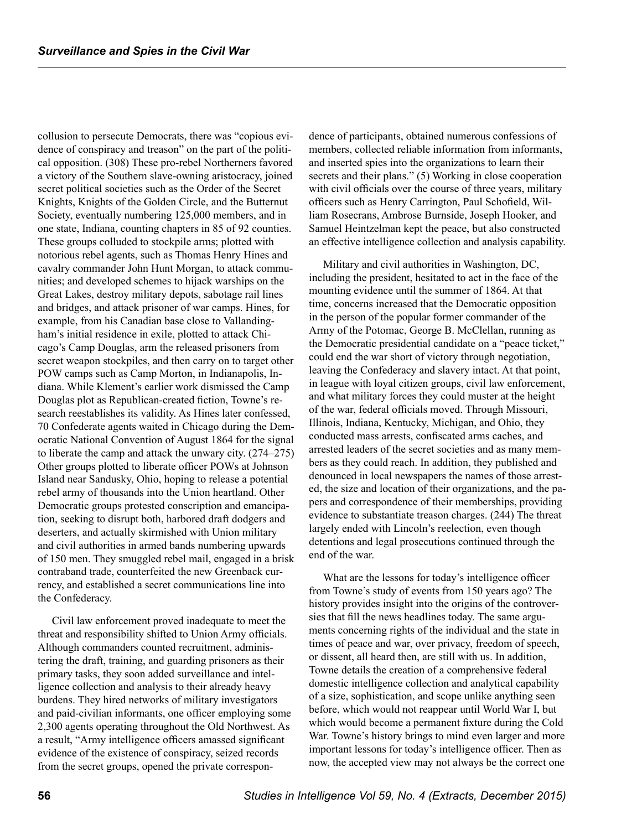collusion to persecute Democrats, there was "copious evidence of conspiracy and treason" on the part of the political opposition. (308) These pro-rebel Northerners favored a victory of the Southern slave-owning aristocracy, joined secret political societies such as the Order of the Secret Knights, Knights of the Golden Circle, and the Butternut Society, eventually numbering 125,000 members, and in one state, Indiana, counting chapters in 85 of 92 counties. These groups colluded to stockpile arms; plotted with notorious rebel agents, such as Thomas Henry Hines and cavalry commander John Hunt Morgan, to attack communities; and developed schemes to hijack warships on the Great Lakes, destroy military depots, sabotage rail lines and bridges, and attack prisoner of war camps. Hines, for example, from his Canadian base close to Vallandingham's initial residence in exile, plotted to attack Chicago's Camp Douglas, arm the released prisoners from secret weapon stockpiles, and then carry on to target other POW camps such as Camp Morton, in Indianapolis, Indiana. While Klement's earlier work dismissed the Camp Douglas plot as Republican-created fiction, Towne's research reestablishes its validity. As Hines later confessed, 70 Confederate agents waited in Chicago during the Democratic National Convention of August 1864 for the signal to liberate the camp and attack the unwary city. (274–275) Other groups plotted to liberate officer POWs at Johnson Island near Sandusky, Ohio, hoping to release a potential rebel army of thousands into the Union heartland. Other Democratic groups protested conscription and emancipation, seeking to disrupt both, harbored draft dodgers and deserters, and actually skirmished with Union military and civil authorities in armed bands numbering upwards of 150 men. They smuggled rebel mail, engaged in a brisk contraband trade, counterfeited the new Greenback currency, and established a secret communications line into the Confederacy.

Civil law enforcement proved inadequate to meet the threat and responsibility shifted to Union Army officials. Although commanders counted recruitment, administering the draft, training, and guarding prisoners as their primary tasks, they soon added surveillance and intelligence collection and analysis to their already heavy burdens. They hired networks of military investigators and paid-civilian informants, one officer employing some 2,300 agents operating throughout the Old Northwest. As a result, "Army intelligence officers amassed significant evidence of the existence of conspiracy, seized records from the secret groups, opened the private correspondence of participants, obtained numerous confessions of members, collected reliable information from informants, and inserted spies into the organizations to learn their secrets and their plans." (5) Working in close cooperation with civil officials over the course of three years, military officers such as Henry Carrington, Paul Schofield, William Rosecrans, Ambrose Burnside, Joseph Hooker, and Samuel Heintzelman kept the peace, but also constructed an effective intelligence collection and analysis capability.

Military and civil authorities in Washington, DC, including the president, hesitated to act in the face of the mounting evidence until the summer of 1864. At that time, concerns increased that the Democratic opposition in the person of the popular former commander of the Army of the Potomac, George B. McClellan, running as the Democratic presidential candidate on a "peace ticket," could end the war short of victory through negotiation, leaving the Confederacy and slavery intact. At that point, in league with loyal citizen groups, civil law enforcement, and what military forces they could muster at the height of the war, federal officials moved. Through Missouri, Illinois, Indiana, Kentucky, Michigan, and Ohio, they conducted mass arrests, confiscated arms caches, and arrested leaders of the secret societies and as many members as they could reach. In addition, they published and denounced in local newspapers the names of those arrested, the size and location of their organizations, and the papers and correspondence of their memberships, providing evidence to substantiate treason charges. (244) The threat largely ended with Lincoln's reelection, even though detentions and legal prosecutions continued through the end of the war.

What are the lessons for today's intelligence officer from Towne's study of events from 150 years ago? The history provides insight into the origins of the controversies that fill the news headlines today. The same arguments concerning rights of the individual and the state in times of peace and war, over privacy, freedom of speech, or dissent, all heard then, are still with us. In addition, Towne details the creation of a comprehensive federal domestic intelligence collection and analytical capability of a size, sophistication, and scope unlike anything seen before, which would not reappear until World War I, but which would become a permanent fixture during the Cold War. Towne's history brings to mind even larger and more important lessons for today's intelligence officer. Then as now, the accepted view may not always be the correct one